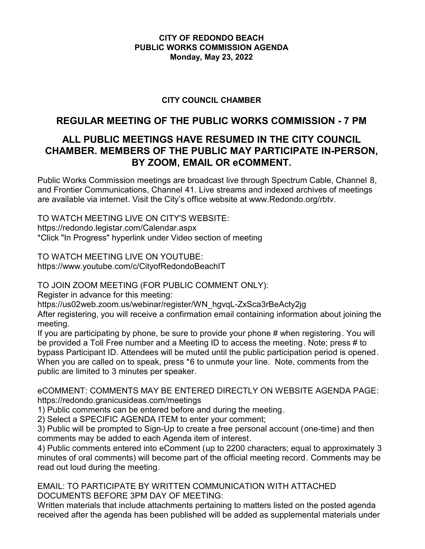## **CITY OF REDONDO BEACH PUBLIC WORKS COMMISSION AGENDA Monday, May 23, 2022**

## **CITY COUNCIL CHAMBER**

# **REGULAR MEETING OF THE PUBLIC WORKS COMMISSION - 7 PM**

# **ALL PUBLIC MEETINGS HAVE RESUMED IN THE CITY COUNCIL CHAMBER. MEMBERS OF THE PUBLIC MAY PARTICIPATE IN-PERSON, BY ZOOM, EMAIL OR eCOMMENT.**

Public Works Commission meetings are broadcast live through Spectrum Cable, Channel 8, and Frontier Communications, Channel 41. Live streams and indexed archives of meetings are available via internet. Visit the City's office website at www.Redondo.org/rbtv.

TO WATCH MEETING LIVE ON CITY'S WEBSITE: https://redondo.legistar.com/Calendar.aspx \*Click "In Progress" hyperlink under Video section of meeting

TO WATCH MEETING LIVE ON YOUTUBE: https://www.youtube.com/c/CityofRedondoBeachIT

TO JOIN ZOOM MEETING (FOR PUBLIC COMMENT ONLY):

Register in advance for this meeting:

https://us02web.zoom.us/webinar/register/WN\_hgvqL-ZxSca3rBeActy2jg

After registering, you will receive a confirmation email containing information about joining the meeting.

If you are participating by phone, be sure to provide your phone # when registering. You will be provided a Toll Free number and a Meeting ID to access the meeting. Note; press # to bypass Participant ID. Attendees will be muted until the public participation period is opened. When you are called on to speak, press \*6 to unmute your line. Note, comments from the public are limited to 3 minutes per speaker.

eCOMMENT: COMMENTS MAY BE ENTERED DIRECTLY ON WEBSITE AGENDA PAGE: https://redondo.granicusideas.com/meetings

1) Public comments can be entered before and during the meeting.

2) Select a SPECIFIC AGENDA ITEM to enter your comment;

3) Public will be prompted to Sign-Up to create a free personal account (one-time) and then comments may be added to each Agenda item of interest.

4) Public comments entered into eComment (up to 2200 characters; equal to approximately 3 minutes of oral comments) will become part of the official meeting record. Comments may be read out loud during the meeting.

EMAIL: TO PARTICIPATE BY WRITTEN COMMUNICATION WITH ATTACHED DOCUMENTS BEFORE 3PM DAY OF MEETING:

Written materials that include attachments pertaining to matters listed on the posted agenda received after the agenda has been published will be added as supplemental materials under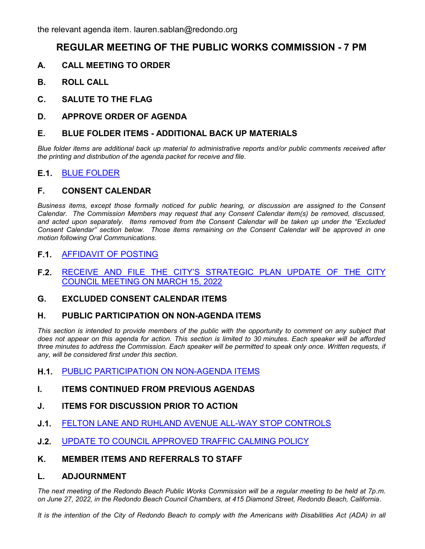# **REGULAR MEETING OF THE PUBLIC WORKS COMMISSION - 7 PM**

- **A. CALL MEETING TO ORDER**
- **B. ROLL CALL**
- **C. SALUTE TO THE FLAG**
- **D. APPROVE ORDER OF AGENDA**

### **E. BLUE FOLDER ITEMS - ADDITIONAL BACK UP MATERIALS**

*Blue folder items are additional back up material to administrative reports and/or public comments received after the printing and distribution of the agenda packet for receive and file.*

## **E.1.** [BLUE FOLDER](http://redondo.legistar.com/gateway.aspx?m=l&id=/matter.aspx?key=5736)

### **F. CONSENT CALENDAR**

*Business items, except those formally noticed for public hearing, or discussion are assigned to the Consent Calendar. The Commission Members may request that any Consent Calendar item(s) be removed, discussed, and acted upon separately. Items removed from the Consent Calendar will be taken up under the "Excluded Consent Calendar" section below. Those items remaining on the Consent Calendar will be approved in one motion following Oral Communications.*

## **F.1.** [AFFIDAVIT OF POSTING](http://redondo.legistar.com/gateway.aspx?m=l&id=/matter.aspx?key=5737)

**F.2.** [RECEIVE AND FILE THE CITY'S STRATEGIC PLAN UPDATE OF THE CITY](http://redondo.legistar.com/gateway.aspx?m=l&id=/matter.aspx?key=5738) COUNCIL MEETING ON MARCH 15, 2022

### **G. EXCLUDED CONSENT CALENDAR ITEMS**

### **H. PUBLIC PARTICIPATION ON NON-AGENDA ITEMS**

This section is intended to provide members of the public with the opportunity to comment on any subject that *does not appear on this agenda for action. This section is limited to 30 minutes. Each speaker will be afforded three minutes to address the Commission. Each speaker will be permitted to speak only once. Written requests, if any, will be considered first under this section.*

- **H.1.** [PUBLIC PARTICIPATION ON NON-AGENDA ITEMS](http://redondo.legistar.com/gateway.aspx?m=l&id=/matter.aspx?key=5739)
- **I. ITEMS CONTINUED FROM PREVIOUS AGENDAS**
- **J. ITEMS FOR DISCUSSION PRIOR TO ACTION**
- **J.1.** [FELTON LANE AND RUHLAND AVENUE ALL-WAY STOP CONTROLS](http://redondo.legistar.com/gateway.aspx?m=l&id=/matter.aspx?key=5740)
- **J.2.** [UPDATE TO COUNCIL APPROVED TRAFFIC CALMING POLICY](http://redondo.legistar.com/gateway.aspx?m=l&id=/matter.aspx?key=5741)
- **K. MEMBER ITEMS AND REFERRALS TO STAFF**

### **L. ADJOURNMENT**

*The next meeting of the Redondo Beach Public Works Commission will be a regular meeting to be held at 7p.m. on June 27, 2022, in the Redondo Beach Council Chambers, at 415 Diamond Street, Redondo Beach, California.*

It is the intention of the City of Redondo Beach to comply with the Americans with Disabilities Act (ADA) in all